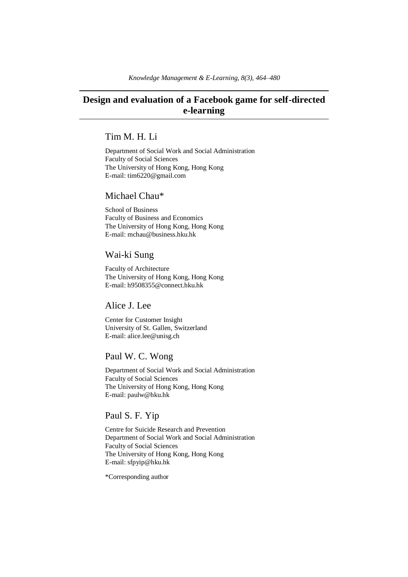# **Design and evaluation of a Facebook game for self-directed e-learning**

## Tim M. H. Li

Department of Social Work and Social Administration Faculty of Social Sciences The University of Hong Kong, Hong Kong E-mail: tim6220@gmail.com

### Michael Chau\*

School of Business Faculty of Business and Economics The University of Hong Kong, Hong Kong E-mail: mchau@business.hku.hk

## Wai-ki Sung

Faculty of Architecture The University of Hong Kong, Hong Kong E-mail: h9508355@connect.hku.hk

## Alice J. Lee

Center for Customer Insight University of St. Gallen, Switzerland E-mail: alice.lee@unisg.ch

## Paul W. C. Wong

Department of Social Work and Social Administration Faculty of Social Sciences The University of Hong Kong, Hong Kong E-mail: paulw@hku.hk

## Paul S. F. Yip

Centre for Suicide Research and Prevention Department of Social Work and Social Administration Faculty of Social Sciences The University of Hong Kong, Hong Kong E-mail: sfpyip@hku.hk

\*Corresponding author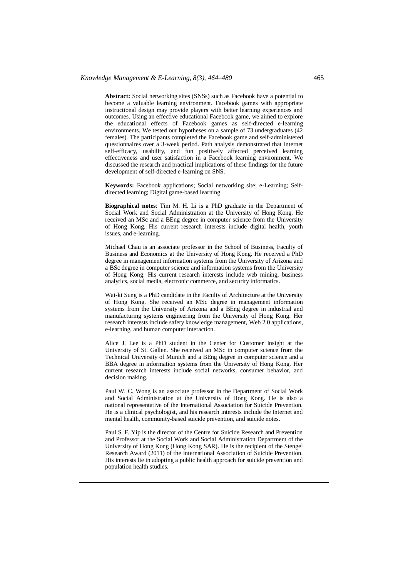### *Knowledge Management & E-Learning, 8(3), 464–480* 465

**Abstract:** Social networking sites (SNSs) such as Facebook have a potential to become a valuable learning environment. Facebook games with appropriate instructional design may provide players with better learning experiences and outcomes. Using an effective educational Facebook game, we aimed to explore the educational effects of Facebook games as self-directed e-learning environments. We tested our hypotheses on a sample of 73 undergraduates (42 females). The participants completed the Facebook game and self-administered questionnaires over a 3-week period. Path analysis demonstrated that Internet self-efficacy, usability, and fun positively affected perceived learning effectiveness and user satisfaction in a Facebook learning environment. We discussed the research and practical implications of these findings for the future development of self-directed e-learning on SNS.

**Keywords:** Facebook applications; Social networking site; e-Learning; Selfdirected learning; Digital game-based learning

**Biographical notes**: Tim M. H. Li is a PhD graduate in the Department of Social Work and Social Administration at the University of Hong Kong. He received an MSc and a BEng degree in computer science from the University of Hong Kong. His current research interests include digital health, youth issues, and e-learning.

Michael Chau is an associate professor in the School of Business, Faculty of Business and Economics at the University of Hong Kong. He received a PhD degree in management information systems from the University of Arizona and a BSc degree in computer science and information systems from the University of Hong Kong. His current research interests include web mining, business analytics, social media, electronic commerce, and security informatics.

Wai-ki Sung is a PhD candidate in the Faculty of Architecture at the University of Hong Kong. She received an MSc degree in management information systems from the University of Arizona and a BEng degree in industrial and manufacturing systems engineering from the University of Hong Kong. Her research interests include safety knowledge management, Web 2.0 applications, e-learning, and human computer interaction.

Alice J. Lee is a PhD student in the Center for Customer Insight at the University of St. Gallen. She received an MSc in computer science from the Technical University of Munich and a BEng degree in computer science and a BBA degree in information systems from the University of Hong Kong. Her current research interests include social networks, consumer behavior, and decision making.

Paul W. C. Wong is an associate professor in the Department of Social Work and Social Administration at the University of Hong Kong. He is also a national representative of the International Association for Suicide Prevention. He is a clinical psychologist, and his research interests include the Internet and mental health, community-based suicide prevention, and suicide notes.

Paul S. F. Yip is the director of the Centre for Suicide Research and Prevention and Professor at the Social Work and Social Administration Department of the University of Hong Kong (Hong Kong SAR). He is the recipient of the Stengel Research Award (2011) of the International Association of Suicide Prevention. His interests lie in adopting a public health approach for suicide prevention and population health studies.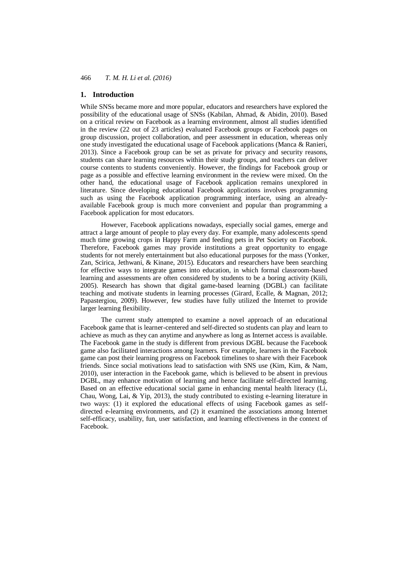### **1. Introduction**

While SNSs became more and more popular, educators and researchers have explored the possibility of the educational usage of SNSs (Kabilan, Ahmad, & Abidin, 2010). Based on a critical review on Facebook as a learning environment, almost all studies identified in the review (22 out of 23 articles) evaluated Facebook groups or Facebook pages on group discussion, project collaboration, and peer assessment in education, whereas only one study investigated the educational usage of Facebook applications (Manca & Ranieri, 2013). Since a Facebook group can be set as private for privacy and security reasons, students can share learning resources within their study groups, and teachers can deliver course contents to students conveniently. However, the findings for Facebook group or page as a possible and effective learning environment in the review were mixed. On the other hand, the educational usage of Facebook application remains unexplored in literature. Since developing educational Facebook applications involves programming such as using the Facebook application programming interface, using an alreadyavailable Facebook group is much more convenient and popular than programming a Facebook application for most educators.

However, Facebook applications nowadays, especially social games, emerge and attract a large amount of people to play every day. For example, many adolescents spend much time growing crops in Happy Farm and feeding pets in Pet Society on Facebook. Therefore, Facebook games may provide institutions a great opportunity to engage students for not merely entertainment but also educational purposes for the mass (Yonker, Zan, Scirica, Jethwani, & Kinane, 2015). Educators and researchers have been searching for effective ways to integrate games into education, in which formal classroom-based learning and assessments are often considered by students to be a boring activity (Kiili, 2005). Research has shown that digital game-based learning (DGBL) can facilitate teaching and motivate students in learning processes (Girard, Ecalle, & Magnan, 2012; Papastergiou, 2009). However, few studies have fully utilized the Internet to provide larger learning flexibility.

The current study attempted to examine a novel approach of an educational Facebook game that is learner-centered and self-directed so students can play and learn to achieve as much as they can anytime and anywhere as long as Internet access is available. The Facebook game in the study is different from previous DGBL because the Facebook game also facilitated interactions among learners. For example, learners in the Facebook game can post their learning progress on Facebook timelines to share with their Facebook friends. Since social motivations lead to satisfaction with SNS use (Kim, Kim, & Nam, 2010), user interaction in the Facebook game, which is believed to be absent in previous DGBL, may enhance motivation of learning and hence facilitate self-directed learning. Based on an effective educational social game in enhancing mental health literacy (Li, Chau, Wong, Lai, & Yip, 2013), the study contributed to existing e-learning literature in two ways: (1) it explored the educational effects of using Facebook games as selfdirected e-learning environments, and (2) it examined the associations among Internet self-efficacy, usability, fun, user satisfaction, and learning effectiveness in the context of Facebook.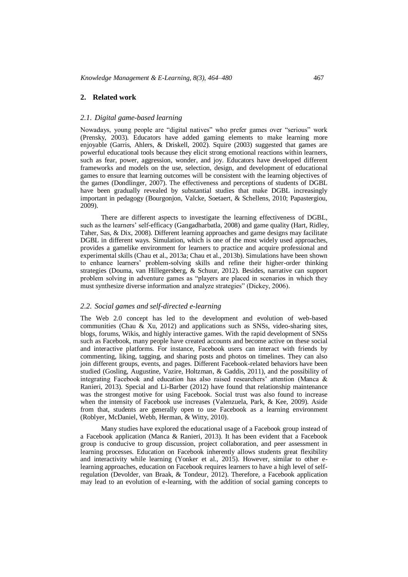### **2. Related work**

### *2.1. Digital game-based learning*

Nowadays, young people are "digital natives" who prefer games over "serious" work (Prensky, 2003). Educators have added gaming elements to make learning more enjoyable (Garris, Ahlers, & Driskell, 2002). Squire (2003) suggested that games are powerful educational tools because they elicit strong emotional reactions within learners, such as fear, power, aggression, wonder, and joy. Educators have developed different frameworks and models on the use, selection, design, and development of educational games to ensure that learning outcomes will be consistent with the learning objectives of the games (Dondlinger, 2007). The effectiveness and perceptions of students of DGBL have been gradually revealed by substantial studies that make DGBL increasingly important in pedagogy (Bourgonjon, Valcke, Soetaert, & Schellens, 2010; Papastergiou, 2009).

There are different aspects to investigate the learning effectiveness of DGBL, such as the learners' self-efficacy (Gangadharbatla, 2008) and game quality (Hart, Ridley, Taher, Sas, & Dix, 2008). Different learning approaches and game designs may facilitate DGBL in different ways. Simulation, which is one of the most widely used approaches, provides a gamelike environment for learners to practice and acquire professional and experimental skills (Chau et al., 2013a; Chau et al., 2013b). Simulations have been shown to enhance learners' problem-solving skills and refine their higher-order thinking strategies (Douma, van Hillegersberg, & Schuur, 2012). Besides, narrative can support problem solving in adventure games as "players are placed in scenarios in which they must synthesize diverse information and analyze strategies" (Dickey, 2006).

### *2.2. Social games and self-directed e-learning*

The Web 2.0 concept has led to the development and evolution of web-based communities (Chau  $\&$  Xu, 2012) and applications such as SNSs, video-sharing sites, blogs, forums, Wikis, and highly interactive games. With the rapid development of SNSs such as Facebook, many people have created accounts and become active on these social and interactive platforms. For instance, Facebook users can interact with friends by commenting, liking, tagging, and sharing posts and photos on timelines. They can also join different groups, events, and pages. Different Facebook-related behaviors have been studied (Gosling, Augustine, Vazire, Holtzman, & Gaddis, 2011), and the possibility of integrating Facebook and education has also raised researchers' attention (Manca & Ranieri, 2013). Special and Li-Barber (2012) have found that relationship maintenance was the strongest motive for using Facebook. Social trust was also found to increase when the intensity of Facebook use increases (Valenzuela, Park, & Kee, 2009). Aside from that, students are generally open to use Facebook as a learning environment (Roblyer, McDaniel, Webb, Herman, & Witty, 2010).

Many studies have explored the educational usage of a Facebook group instead of a Facebook application (Manca & Ranieri, 2013). It has been evident that a Facebook group is conducive to group discussion, project collaboration, and peer assessment in learning processes. Education on Facebook inherently allows students great flexibility and interactivity while learning (Yonker et al., 2015). However, similar to other elearning approaches, education on Facebook requires learners to have a high level of selfregulation (Devolder, van Braak, & Tondeur, 2012). Therefore, a Facebook application may lead to an evolution of e-learning, with the addition of social gaming concepts to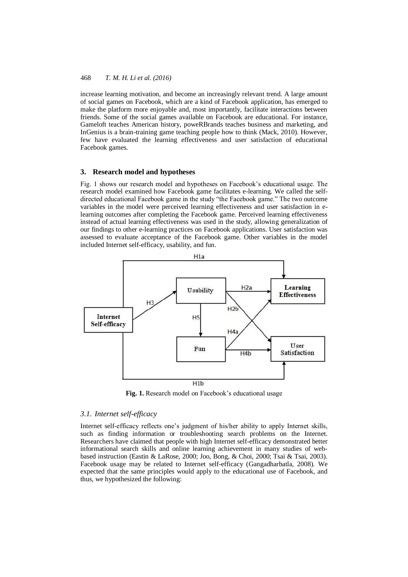increase learning motivation, and become an increasingly relevant trend. A large amount of social games on Facebook, which are a kind of Facebook application, has emerged to make the platform more enjoyable and, most importantly, facilitate interactions between friends. Some of the social games available on Facebook are educational. For instance, Gameloft teaches American history, poweRBrands teaches business and marketing, and InGenius is a brain-training game teaching people how to think (Mack, 2010). However, few have evaluated the learning effectiveness and user satisfaction of educational Facebook games.

#### **3. Research model and hypotheses**

Fig. 1 shows our research model and hypotheses on Facebook's educational usage. The research model examined how Facebook game facilitates e-learning. We called the selfdirected educational Facebook game in the study "the Facebook game." The two outcome variables in the model were perceived learning effectiveness and user satisfaction in elearning outcomes after completing the Facebook game. Perceived learning effectiveness instead of actual learning effectiveness was used in the study, allowing generalization of our findings to other e-learning practices on Facebook applications. User satisfaction was assessed to evaluate acceptance of the Facebook game. Other variables in the model included Internet self-efficacy, usability, and fun.



**Fig. 1.** Research model on Facebook's educational usage

### *3.1. Internet self-efficacy*

Internet self-efficacy reflects one's judgment of his/her ability to apply Internet skills, such as finding information or troubleshooting search problems on the Internet. Researchers have claimed that people with high Internet self-efficacy demonstrated better informational search skills and online learning achievement in many studies of webbased instruction (Eastin & LaRose, 2000; Joo, Bong, & Choi, 2000; Tsai & Tsai, 2003). Facebook usage may be related to Internet self-efficacy (Gangadharbatla, 2008). We expected that the same principles would apply to the educational use of Facebook, and thus, we hypothesized the following: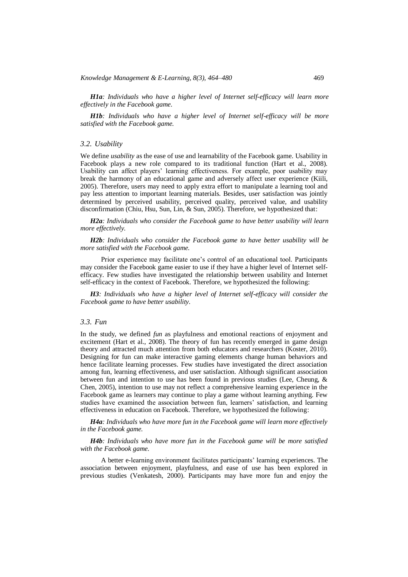*H1a: Individuals who have a higher level of Internet self-efficacy will learn more effectively in the Facebook game.*

*H1b: Individuals who have a higher level of Internet self-efficacy will be more satisfied with the Facebook game.*

### *3.2. Usability*

We define *usability* as the ease of use and learnability of the Facebook game. Usability in Facebook plays a new role compared to its traditional function (Hart et al., 2008). Usability can affect players' learning effectiveness. For example, poor usability may break the harmony of an educational game and adversely affect user experience (Kiili, 2005). Therefore, users may need to apply extra effort to manipulate a learning tool and pay less attention to important learning materials. Besides, user satisfaction was jointly determined by perceived usability, perceived quality, perceived value, and usability disconfirmation (Chiu, Hsu, Sun, Lin, & Sun, 2005). Therefore, we hypothesized that:

*H2a: Individuals who consider the Facebook game to have better usability will learn more effectively.*

*H2b: Individuals who consider the Facebook game to have better usability will be more satisfied with the Facebook game.*

Prior experience may facilitate one's control of an educational tool. Participants may consider the Facebook game easier to use if they have a higher level of Internet selfefficacy. Few studies have investigated the relationship between usability and Internet self-efficacy in the context of Facebook. Therefore, we hypothesized the following:

*H3: Individuals who have a higher level of Internet self-efficacy will consider the Facebook game to have better usability.*

### *3.3. Fun*

In the study, we defined *fun* as playfulness and emotional reactions of enjoyment and excitement (Hart et al., 2008). The theory of fun has recently emerged in game design theory and attracted much attention from both educators and researchers (Koster, 2010). Designing for fun can make interactive gaming elements change human behaviors and hence facilitate learning processes. Few studies have investigated the direct association among fun, learning effectiveness, and user satisfaction. Although significant association between fun and intention to use has been found in previous studies (Lee, Cheung, & Chen, 2005), intention to use may not reflect a comprehensive learning experience in the Facebook game as learners may continue to play a game without learning anything. Few studies have examined the association between fun, learners' satisfaction, and learning effectiveness in education on Facebook. Therefore, we hypothesized the following:

*H4a: Individuals who have more fun in the Facebook game will learn more effectively in the Facebook game.*

*H4b: Individuals who have more fun in the Facebook game will be more satisfied with the Facebook game.*

A better e-learning environment facilitates participants' learning experiences. The association between enjoyment, playfulness, and ease of use has been explored in previous studies (Venkatesh, 2000). Participants may have more fun and enjoy the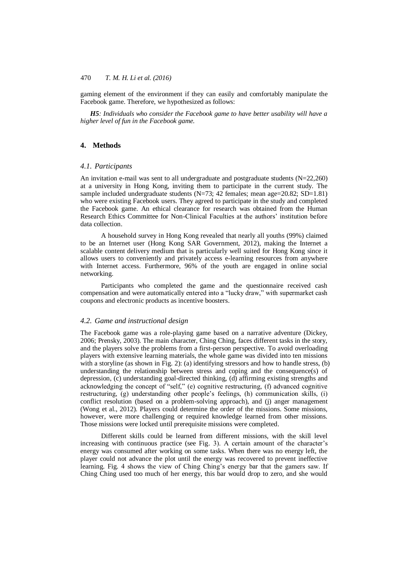gaming element of the environment if they can easily and comfortably manipulate the Facebook game. Therefore, we hypothesized as follows:

*H5: Individuals who consider the Facebook game to have better usability will have a higher level of fun in the Facebook game.*

### **4. Methods**

### *4.1. Participants*

An invitation e-mail was sent to all undergraduate and postgraduate students (N=22,260) at a university in Hong Kong, inviting them to participate in the current study. The sample included undergraduate students  $(N=73; 42 \text{ females}; \text{mean age}=20.82; SD=1.81)$ who were existing Facebook users. They agreed to participate in the study and completed the Facebook game. An ethical clearance for research was obtained from the Human Research Ethics Committee for Non-Clinical Faculties at the authors' institution before data collection.

A household survey in Hong Kong revealed that nearly all youths (99%) claimed to be an Internet user (Hong Kong SAR Government, 2012), making the Internet a scalable content delivery medium that is particularly well suited for Hong Kong since it allows users to conveniently and privately access e-learning resources from anywhere with Internet access. Furthermore, 96% of the youth are engaged in online social networking.

Participants who completed the game and the questionnaire received cash compensation and were automatically entered into a "lucky draw," with supermarket cash coupons and electronic products as incentive boosters.

### *4.2. Game and instructional design*

The Facebook game was a role-playing game based on a narrative adventure (Dickey, 2006; Prensky, 2003). The main character, Ching Ching, faces different tasks in the story, and the players solve the problems from a first-person perspective. To avoid overloading players with extensive learning materials, the whole game was divided into ten missions with a storyline (as shown in Fig. 2): (a) identifying stressors and how to handle stress, (b) understanding the relationship between stress and coping and the consequence(s) of depression, (c) understanding goal-directed thinking, (d) affirming existing strengths and acknowledging the concept of "self," (e) cognitive restructuring, (f) advanced cognitive restructuring, (g) understanding other people's feelings, (h) communication skills, (i) conflict resolution (based on a problem-solving approach), and (j) anger management (Wong et al., 2012). Players could determine the order of the missions. Some missions, however, were more challenging or required knowledge learned from other missions. Those missions were locked until prerequisite missions were completed.

Different skills could be learned from different missions, with the skill level increasing with continuous practice (see Fig. 3). A certain amount of the character's energy was consumed after working on some tasks. When there was no energy left, the player could not advance the plot until the energy was recovered to prevent ineffective learning. Fig. 4 shows the view of Ching Ching's energy bar that the gamers saw. If Ching Ching used too much of her energy, this bar would drop to zero, and she would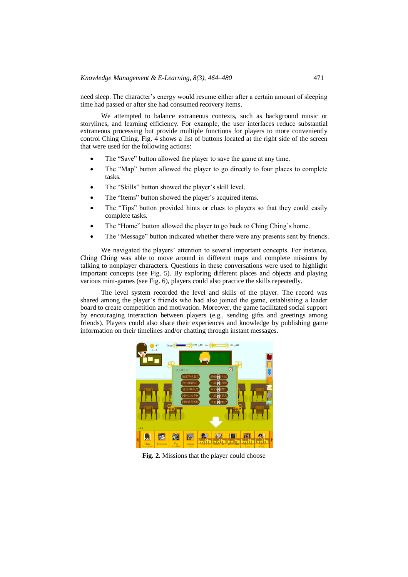need sleep. The character's energy would resume either after a certain amount of sleeping time had passed or after she had consumed recovery items.

We attempted to balance extraneous contexts, such as background music or storylines, and learning efficiency. For example, the user interfaces reduce substantial extraneous processing but provide multiple functions for players to more conveniently control Ching Ching. Fig. 4 shows a list of buttons located at the right side of the screen that were used for the following actions:

- The "Save" button allowed the player to save the game at any time.
- The "Map" button allowed the player to go directly to four places to complete tasks.
- The "Skills" button showed the player's skill level.
- The "Items" button showed the player's acquired items.
- The "Tips" button provided hints or clues to players so that they could easily complete tasks.
- The "Home" button allowed the player to go back to Ching Ching's home.
- The "Message" button indicated whether there were any presents sent by friends.

We navigated the players' attention to several important concepts. For instance, Ching Ching was able to move around in different maps and complete missions by talking to nonplayer characters. Questions in these conversations were used to highlight important concepts (see Fig. 5). By exploring different places and objects and playing various mini-games (see Fig. 6), players could also practice the skills repeatedly.

The level system recorded the level and skills of the player. The record was shared among the player's friends who had also joined the game, establishing a leader board to create competition and motivation. Moreover, the game facilitated social support by encouraging interaction between players (e.g., sending gifts and greetings among friends). Players could also share their experiences and knowledge by publishing game information on their timelines and/or chatting through instant messages.



**Fig. 2.** Missions that the player could choose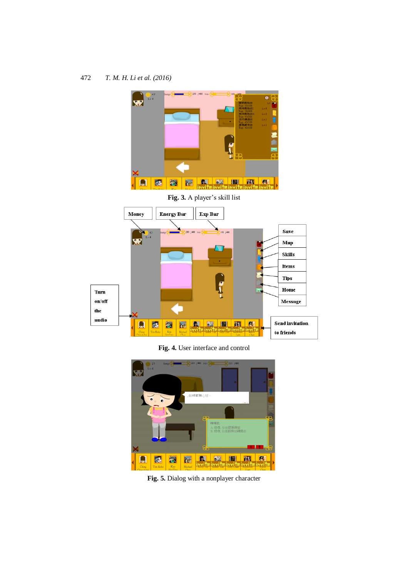

**Fig. 4.** User interface and control



**Fig. 5.** Dialog with a nonplayer character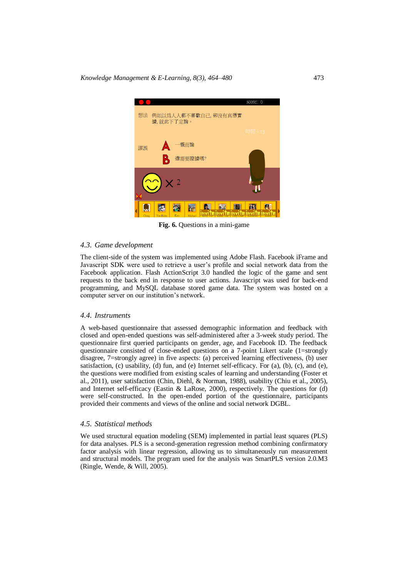*Knowledge Management & E-Learning, 8(3), 464–480* 473



**Fig. 6.** Questions in a mini-game

### *4.3. Game development*

The client-side of the system was implemented using Adobe Flash. Facebook iFrame and Javascript SDK were used to retrieve a user's profile and social network data from the Facebook application. Flash ActionScript 3.0 handled the logic of the game and sent requests to the back end in response to user actions. Javascript was used for back-end programming, and MySQL database stored game data. The system was hosted on a computer server on our institution's network.

### *4.4. Instruments*

A web-based questionnaire that assessed demographic information and feedback with closed and open-ended questions was self-administered after a 3-week study period. The questionnaire first queried participants on gender, age, and Facebook ID. The feedback questionnaire consisted of close-ended questions on a 7-point Likert scale (1=strongly disagree, 7=strongly agree) in five aspects: (a) perceived learning effectiveness, (b) user satisfaction, (c) usability, (d) fun, and (e) Internet self-efficacy. For (a), (b), (c), and (e), the questions were modified from existing scales of learning and understanding (Foster et al., 2011), user satisfaction (Chin, Diehl, & Norman, 1988), usability (Chiu et al., 2005), and Internet self-efficacy (Eastin & LaRose, 2000), respectively. The questions for (d) were self-constructed. In the open-ended portion of the questionnaire, participants provided their comments and views of the online and social network DGBL.

#### *4.5. Statistical methods*

We used structural equation modeling (SEM) implemented in partial least squares (PLS) for data analyses. PLS is a second-generation regression method combining confirmatory factor analysis with linear regression, allowing us to simultaneously run measurement and structural models. The program used for the analysis was SmartPLS version 2.0.M3 (Ringle, Wende, & Will, 2005).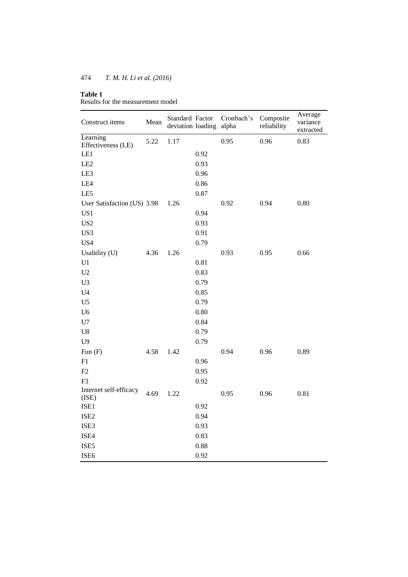### **Table 1**

Results for the measurement model

| Construct items                 | Mean | Standard Factor<br>deviation loading |      | Cronbach's<br>alpha | Composite<br>reliability | Average<br>variance<br>extracted |
|---------------------------------|------|--------------------------------------|------|---------------------|--------------------------|----------------------------------|
| Learning                        | 5.22 | 1.17                                 |      | 0.95                | 0.96                     | 0.83                             |
| Effectiveness (LE)              |      |                                      |      |                     |                          |                                  |
| LE1                             |      |                                      | 0.92 |                     |                          |                                  |
| LE <sub>2</sub>                 |      |                                      | 0.93 |                     |                          |                                  |
| LE3                             |      |                                      | 0.96 |                     |                          |                                  |
| LE4                             |      |                                      | 0.86 |                     |                          |                                  |
| LE5                             |      |                                      | 0.87 |                     |                          |                                  |
| User Satisfaction (US) 3.98     |      | 1.26                                 |      | 0.92                | 0.94                     | 0.80                             |
| US1                             |      |                                      | 0.94 |                     |                          |                                  |
| US <sub>2</sub>                 |      |                                      | 0.93 |                     |                          |                                  |
| US3                             |      |                                      | 0.91 |                     |                          |                                  |
| US4                             |      |                                      | 0.79 |                     |                          |                                  |
| Usability (U)                   | 4.36 | 1.26                                 |      | 0.93                | 0.95                     | 0.66                             |
| U1                              |      |                                      | 0.81 |                     |                          |                                  |
| U2                              |      |                                      | 0.83 |                     |                          |                                  |
| U <sub>3</sub>                  |      |                                      | 0.79 |                     |                          |                                  |
| U <sub>4</sub>                  |      |                                      | 0.85 |                     |                          |                                  |
| U <sub>5</sub>                  |      |                                      | 0.79 |                     |                          |                                  |
| U <sub>6</sub>                  |      |                                      | 0.80 |                     |                          |                                  |
| U7                              |      |                                      | 0.84 |                     |                          |                                  |
| ${\rm U}8$                      |      |                                      | 0.79 |                     |                          |                                  |
| U <sub>9</sub>                  |      |                                      | 0.79 |                     |                          |                                  |
| Fun $(F)$                       | 4.58 | 1.42                                 |      | 0.94                | 0.96                     | 0.89                             |
| F1                              |      |                                      | 0.96 |                     |                          |                                  |
| F2                              |      |                                      | 0.95 |                     |                          |                                  |
| F <sub>3</sub>                  |      |                                      | 0.92 |                     |                          |                                  |
| Internet self-efficacy<br>(ISE) | 4.69 | 1.22                                 |      | 0.95                | 0.96                     | 0.81                             |
| ISE1                            |      |                                      | 0.92 |                     |                          |                                  |
| ISE <sub>2</sub>                |      |                                      | 0.94 |                     |                          |                                  |
| ISE3                            |      |                                      | 0.93 |                     |                          |                                  |
| ISE4                            |      |                                      | 0.83 |                     |                          |                                  |
| ISE5                            |      |                                      | 0.88 |                     |                          |                                  |
| ISE <sub>6</sub>                |      |                                      | 0.92 |                     |                          |                                  |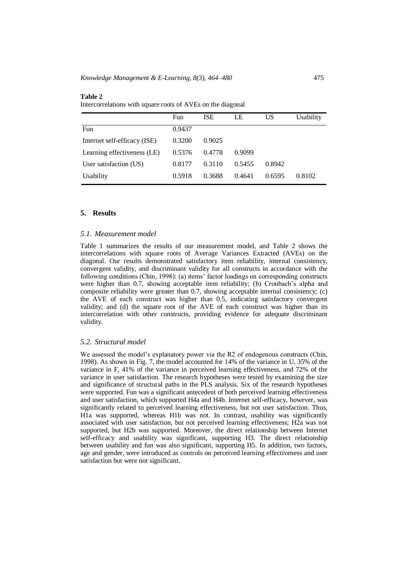|                              | Fun    | <b>ISE</b> | LE     | US     | Usability |
|------------------------------|--------|------------|--------|--------|-----------|
| Fun                          | 0.9437 |            |        |        |           |
| Internet self-efficacy (ISE) | 0.3200 | 0.9025     |        |        |           |
| Learning effectiveness (LE)  | 0.5376 | 0.4778     | 0.9099 |        |           |
| User satisfaction (US)       | 0.8177 | 0.3110     | 0.5455 | 0.8942 |           |
| Usability                    | 0.5918 | 0.3688     | 0.4641 | 0.6595 | 0.8102    |

#### **Table 2** Intercorrelations with square roots of AVEs on the diagonal

### **5. Results**

### *5.1. Measurement model*

Table 1 summarizes the results of our measurement model, and Table 2 shows the intercorrelations with square roots of Average Variances Extracted (AVEs) on the diagonal. Our results demonstrated satisfactory item reliability, internal consistency, convergent validity, and discriminant validity for all constructs in accordance with the following conditions (Chin, 1998): (a) items' factor loadings on corresponding constructs were higher than 0.7, showing acceptable item reliability; (b) Cronbach's alpha and composite reliability were greater than 0.7, showing acceptable internal consistency; (c) the AVE of each construct was higher than 0.5, indicating satisfactory convergent validity; and (d) the square root of the AVE of each construct was higher than its intercorrelation with other constructs, providing evidence for adequate discriminant validity.

### *5.2. Structural model*

We assessed the model's explanatory power via the R2 of endogenous constructs (Chin, 1998). As shown in Fig. 7, the model accounted for 14% of the variance in U, 35% of the variance in F, 41% of the variance in perceived learning effectiveness, and 72% of the variance in user satisfaction. The research hypotheses were tested by examining the size and significance of structural paths in the PLS analysis. Six of the research hypotheses were supported. Fun was a significant antecedent of both perceived learning effectiveness and user satisfaction, which supported H4a and H4b. Internet self-efficacy, however, was significantly related to perceived learning effectiveness, but not user satisfaction. Thus, H1a was supported, whereas H1b was not. In contrast, usability was significantly associated with user satisfaction, but not perceived learning effectiveness; H2a was not supported, but H2b was supported. Moreover, the direct relationship between Internet self-efficacy and usability was significant, supporting H3. The direct relationship between usability and fun was also significant, supporting H5. In addition, two factors, age and gender, were introduced as controls on perceived learning effectiveness and user satisfaction but were not significant.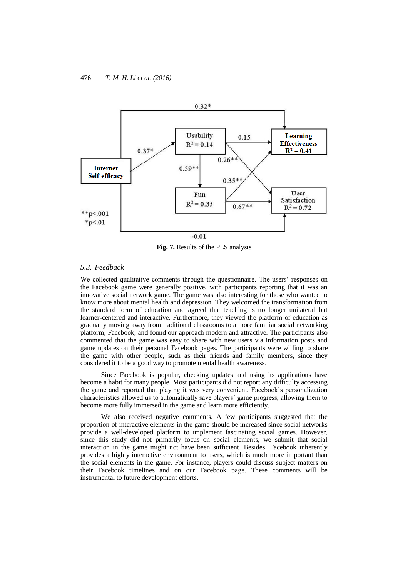

**Fig. 7.** Results of the PLS analysis

### *5.3. Feedback*

We collected qualitative comments through the questionnaire. The users' responses on the Facebook game were generally positive, with participants reporting that it was an innovative social network game. The game was also interesting for those who wanted to know more about mental health and depression. They welcomed the transformation from the standard form of education and agreed that teaching is no longer unilateral but learner-centered and interactive. Furthermore, they viewed the platform of education as gradually moving away from traditional classrooms to a more familiar social networking platform, Facebook, and found our approach modern and attractive. The participants also commented that the game was easy to share with new users via information posts and game updates on their personal Facebook pages. The participants were willing to share the game with other people, such as their friends and family members, since they considered it to be a good way to promote mental health awareness.

Since Facebook is popular, checking updates and using its applications have become a habit for many people. Most participants did not report any difficulty accessing the game and reported that playing it was very convenient. Facebook's personalization characteristics allowed us to automatically save players' game progress, allowing them to become more fully immersed in the game and learn more efficiently.

We also received negative comments. A few participants suggested that the proportion of interactive elements in the game should be increased since social networks provide a well-developed platform to implement fascinating social games. However, since this study did not primarily focus on social elements, we submit that social interaction in the game might not have been sufficient. Besides, Facebook inherently provides a highly interactive environment to users, which is much more important than the social elements in the game. For instance, players could discuss subject matters on their Facebook timelines and on our Facebook page. These comments will be instrumental to future development efforts.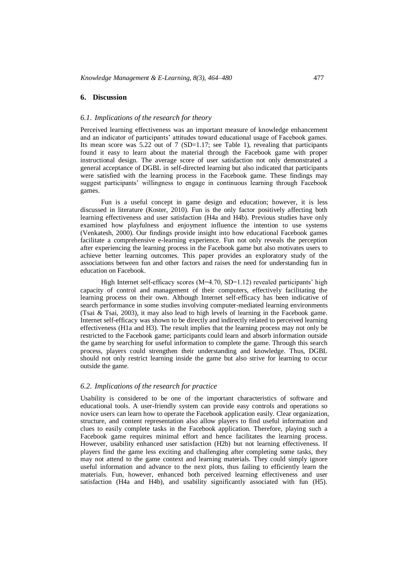#### **6. Discussion**

### *6.1. Implications of the research for theory*

Perceived learning effectiveness was an important measure of knowledge enhancement and an indicator of participants' attitudes toward educational usage of Facebook games. Its mean score was  $5.22$  out of 7 (SD=1.17; see Table 1), revealing that participants found it easy to learn about the material through the Facebook game with proper instructional design. The average score of user satisfaction not only demonstrated a general acceptance of DGBL in self-directed learning but also indicated that participants were satisfied with the learning process in the Facebook game. These findings may suggest participants' willingness to engage in continuous learning through Facebook games.

Fun is a useful concept in game design and education; however, it is less discussed in literature (Koster, 2010). Fun is the only factor positively affecting both learning effectiveness and user satisfaction (H4a and H4b). Previous studies have only examined how playfulness and enjoyment influence the intention to use systems (Venkatesh, 2000). Our findings provide insight into how educational Facebook games facilitate a comprehensive e-learning experience. Fun not only reveals the perception after experiencing the learning process in the Facebook game but also motivates users to achieve better learning outcomes. This paper provides an exploratory study of the associations between fun and other factors and raises the need for understanding fun in education on Facebook.

High Internet self-efficacy scores (M=4.70, SD=1.12) revealed participants' high capacity of control and management of their computers, effectively facilitating the learning process on their own. Although Internet self-efficacy has been indicative of search performance in some studies involving computer-mediated learning environments (Tsai & Tsai, 2003), it may also lead to high levels of learning in the Facebook game. Internet self-efficacy was shown to be directly and indirectly related to perceived learning effectiveness (H1a and H3). The result implies that the learning process may not only be restricted to the Facebook game; participants could learn and absorb information outside the game by searching for useful information to complete the game. Through this search process, players could strengthen their understanding and knowledge. Thus, DGBL should not only restrict learning inside the game but also strive for learning to occur outside the game.

#### *6.2. Implications of the research for practice*

Usability is considered to be one of the important characteristics of software and educational tools. A user-friendly system can provide easy controls and operations so novice users can learn how to operate the Facebook application easily. Clear organization, structure, and content representation also allow players to find useful information and clues to easily complete tasks in the Facebook application. Therefore, playing such a Facebook game requires minimal effort and hence facilitates the learning process. However, usability enhanced user satisfaction (H2b) but not learning effectiveness. If players find the game less exciting and challenging after completing some tasks, they may not attend to the game context and learning materials. They could simply ignore useful information and advance to the next plots, thus failing to efficiently learn the materials. Fun, however, enhanced both perceived learning effectiveness and user satisfaction (H4a and H4b), and usability significantly associated with fun (H5).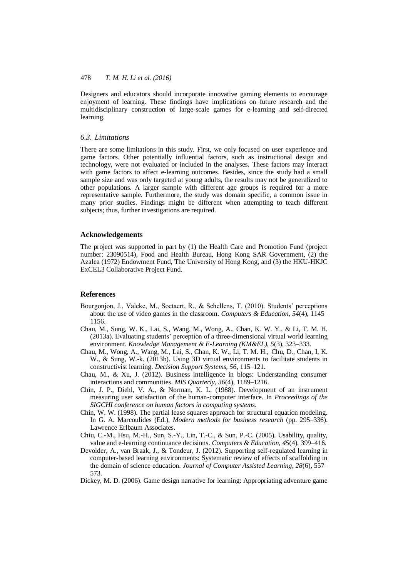Designers and educators should incorporate innovative gaming elements to encourage enjoyment of learning. These findings have implications on future research and the multidisciplinary construction of large-scale games for e-learning and self-directed learning.

### *6.3. Limitations*

There are some limitations in this study. First, we only focused on user experience and game factors. Other potentially influential factors, such as instructional design and technology, were not evaluated or included in the analyses. These factors may interact with game factors to affect e-learning outcomes. Besides, since the study had a small sample size and was only targeted at young adults, the results may not be generalized to other populations. A larger sample with different age groups is required for a more representative sample. Furthermore, the study was domain specific, a common issue in many prior studies. Findings might be different when attempting to teach different subjects; thus, further investigations are required.

### **Acknowledgements**

The project was supported in part by (1) the Health Care and Promotion Fund (project number: 23090514), Food and Health Bureau, Hong Kong SAR Government, (2) the Azalea (1972) Endowment Fund, The University of Hong Kong, and (3) the HKU-HKJC ExCEL3 Collaborative Project Fund.

### **References**

- Bourgonjon, J., Valcke, M., Soetaert, R., & Schellens, T. (2010). Students' perceptions about the use of video games in the classroom. *Computers & Education, 54*(4), 1145– 1156.
- Chau, M., Sung, W. K., Lai, S., Wang, M., Wong, A., Chan, K. W. Y., & Li, T. M. H. (2013a). Evaluating students' perception of a three-dimensional virtual world learning environment. *Knowledge Management & E-Learning (KM&EL), 5*(3), 323–333.
- Chau, M., Wong, A., Wang, M., Lai, S., Chan, K. W., Li, T. M. H., Chu, D., Chan, I, K. W., & Sung, W.-k. (2013b). Using 3D virtual environments to facilitate students in constructivist learning. *Decision Support Systems, 56*, 115–121.
- Chau, M., & Xu, J. (2012). Business intelligence in blogs: Understanding consumer interactions and communities. *MIS Quarterly, 36*(4), 1189–1216.
- Chin, J. P., Diehl, V. A., & Norman, K. L. (1988). Development of an instrument measuring user satisfaction of the human-computer interface. In *Proceedings of the SIGCHI conference on human factors in computing systems*.
- Chin, W. W. (1998). The partial lease squares approach for structural equation modeling. In G. A. Marcoulides (Ed.), *Modern methods for business research* (pp. 295–336). Lawrence Erlbaum Associates.
- Chiu, C.-M., Hsu, M.-H., Sun, S.-Y., Lin, T.-C., & Sun, P.-C. (2005). Usability, quality, value and e-learning continuance decisions. *Computers & Education, 45*(4), 399–416.
- Devolder, A., van Braak, J., & Tondeur, J. (2012). Supporting self-regulated learning in computer-based learning environments: Systematic review of effects of scaffolding in the domain of science education. *Journal of Computer Assisted Learning, 28*(6), 557– 573.
- Dickey, M. D. (2006). Game design narrative for learning: Appropriating adventure game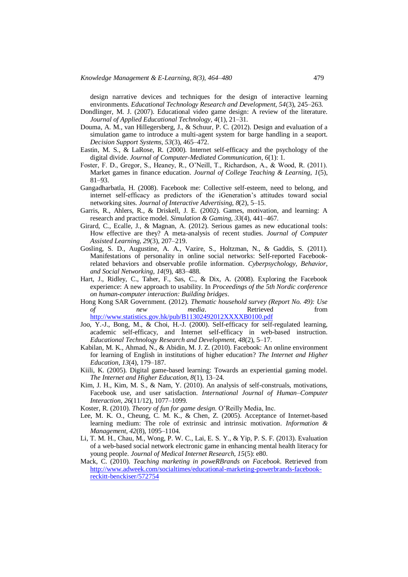design narrative devices and techniques for the design of interactive learning environments. *Educational Technology Research and Development, 54*(3), 245–263.

Dondlinger, M. J. (2007). Educational video game design: A review of the literature. *Journal of Applied Educational Technology, 4*(1), 21–31.

- Douma, A. M., van Hillegersberg, J., & Schuur, P. C. (2012). Design and evaluation of a simulation game to introduce a multi-agent system for barge handling in a seaport. *Decision Support Systems, 53*(3), 465–472.
- Eastin, M. S., & LaRose, R. (2000). Internet self-efficacy and the psychology of the digital divide. *Journal of Computer-Mediated Communication, 6*(1): 1.
- Foster, F. D., Gregor, S., Heaney, R., O'Neill, T., Richardson, A., & Wood, R. (2011). Market games in finance education. *Journal of College Teaching & Learning, 1*(5), 81–93.
- Gangadharbatla, H. (2008). Facebook me: Collective self-esteem, need to belong, and internet self-efficacy as predictors of the iGeneration's attitudes toward social networking sites. *Journal of Interactive Advertising, 8*(2), 5–15.
- Garris, R., Ahlers, R., & Driskell, J. E. (2002). Games, motivation, and learning: A research and practice model. *Simulation & Gaming, 33*(4), 441–467.
- Girard, C., Ecalle, J., & Magnan, A. (2012). Serious games as new educational tools: How effective are they? A meta-analysis of recent studies. *Journal of Computer Assisted Learning, 29*(3), 207–219.
- Gosling, S. D., Augustine, A. A., Vazire, S., Holtzman, N., & Gaddis, S. (2011). Manifestations of personality in online social networks: Self-reported Facebookrelated behaviors and observable profile information. *Cyberpsychology, Behavior, and Social Networking, 14*(9), 483–488.
- Hart, J., Ridley, C., Taher, F., Sas, C., & Dix, A. (2008). Exploring the Facebook experience: A new approach to usability. In *Proceedings of the 5th Nordic conference on human-computer interaction: Building bridges*.
- Hong Kong SAR Government. (2012). *Thematic household survey (Report No. 49): Use of new media*. Retrieved from <http://www.statistics.gov.hk/pub/B11302492012XXXXB0100.pdf>
- Joo, Y.-J., Bong, M., & Choi, H.-J. (2000). Self-efficacy for self-regulated learning, academic self-efficacy, and Internet self-efficacy in web-based instruction. *Educational Technology Research and Development, 48*(2), 5–17.
- Kabilan, M. K., Ahmad, N., & Abidin, M. J. Z. (2010). Facebook: An online environment for learning of English in institutions of higher education? *The Internet and Higher Education, 13*(4), 179–187.
- Kiili, K. (2005). Digital game-based learning: Towards an experiential gaming model. *The Internet and Higher Education, 8*(1), 13–24.
- Kim, J. H., Kim, M. S., & Nam, Y. (2010). An analysis of self-construals, motivations, Facebook use, and user satisfaction. *International Journal of Human–Computer Interaction, 26*(11/12), 1077–1099.
- Koster, R. (2010). *Theory of fun for game design*. O'Reilly Media, Inc.
- Lee, M. K. O., Cheung, C. M. K., & Chen, Z. (2005). Acceptance of Internet-based learning medium: The role of extrinsic and intrinsic motivation. *Information & Management, 42*(8), 1095–1104.
- Li, T. M. H., Chau, M., Wong, P. W. C., Lai, E. S. Y., & Yip, P. S. F. (2013). Evaluation of a web-based social network electronic game in enhancing mental health literacy for young people. *Journal of Medical Internet Research, 15*(5): e80.
- Mack, C. (2010). *Teaching marketing in poweRBrands on Facebook*. Retrieved from [http://www.adweek.com/socialtimes/educational-marketing-powerbrands-facebook](http://www.adweek.com/socialtimes/educational-marketing-powerbrands-facebook-reckitt-benckiser/572754)[reckitt-benckiser/572754](http://www.adweek.com/socialtimes/educational-marketing-powerbrands-facebook-reckitt-benckiser/572754)